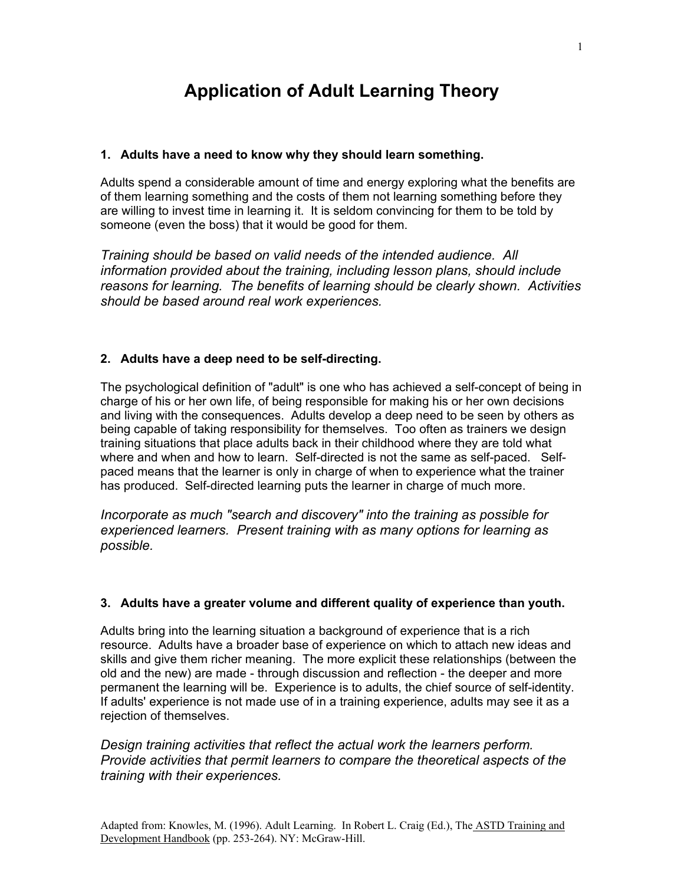# **Application of Adult Learning Theory**

## **1. Adults have a need to know why they should learn something.**

Adults spend a considerable amount of time and energy exploring what the benefits are of them learning something and the costs of them not learning something before they are willing to invest time in learning it. It is seldom convincing for them to be told by someone (even the boss) that it would be good for them.

*Training should be based on valid needs of the intended audience. All information provided about the training, including lesson plans, should include reasons for learning. The benefits of learning should be clearly shown. Activities should be based around real work experiences.* 

## **2. Adults have a deep need to be self-directing.**

The psychological definition of "adult" is one who has achieved a self-concept of being in charge of his or her own life, of being responsible for making his or her own decisions and living with the consequences. Adults develop a deep need to be seen by others as being capable of taking responsibility for themselves. Too often as trainers we design training situations that place adults back in their childhood where they are told what where and when and how to learn. Self-directed is not the same as self-paced. Selfpaced means that the learner is only in charge of when to experience what the trainer has produced. Self-directed learning puts the learner in charge of much more.

*Incorporate as much "search and discovery" into the training as possible for experienced learners. Present training with as many options for learning as possible.* 

### **3. Adults have a greater volume and different quality of experience than youth.**

Adults bring into the learning situation a background of experience that is a rich resource. Adults have a broader base of experience on which to attach new ideas and skills and give them richer meaning. The more explicit these relationships (between the old and the new) are made - through discussion and reflection - the deeper and more permanent the learning will be. Experience is to adults, the chief source of self-identity. If adults' experience is not made use of in a training experience, adults may see it as a rejection of themselves.

*Design training activities that reflect the actual work the learners perform. Provide activities that permit learners to compare the theoretical aspects of the training with their experiences.*